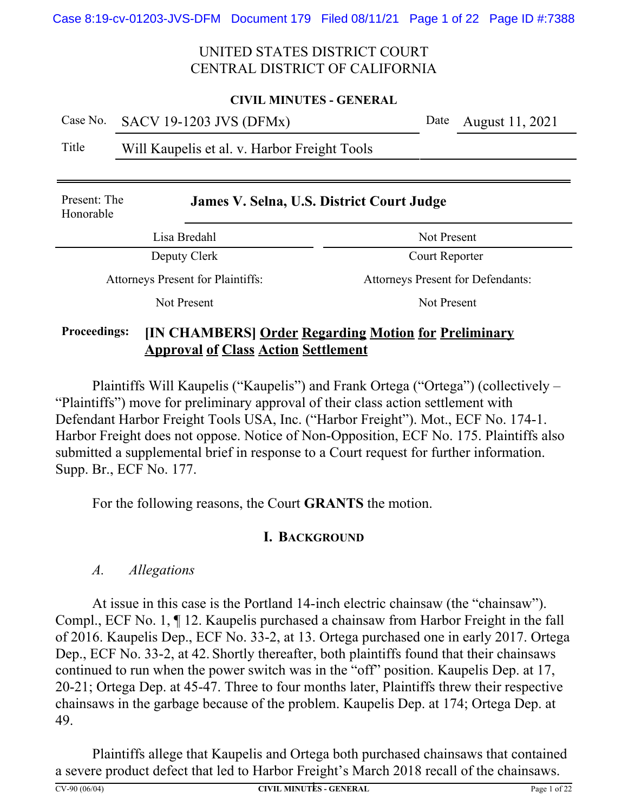#### **CIVIL MINUTES - GENERAL**

Case No. SACV 19-1203 JVS (DFMx) Date August 11, 2021

## Title Will Kaupelis et al. v. Harbor Freight Tools

| Present: The<br>Honorable                | James V. Selna, U.S. District Court Judge                                |  |  |
|------------------------------------------|--------------------------------------------------------------------------|--|--|
| Lisa Bredahl                             | Not Present                                                              |  |  |
| Deputy Clerk                             | Court Reporter                                                           |  |  |
| <b>Attorneys Present for Plaintiffs:</b> | <b>Attorneys Present for Defendants:</b>                                 |  |  |
| Not Present                              | <b>Not Present</b>                                                       |  |  |
| $\blacksquare$<br>$\mathbf{r}$           | $\mathbf{a}$ , $\mathbf{b}$ , $\mathbf{c}$ , $\mathbf{c}$ , $\mathbf{c}$ |  |  |

## **Proceedings: [IN CHAMBERS] Order Regarding Motion for Preliminary Approval of Class Action Settlement**

Plaintiffs Will Kaupelis ("Kaupelis") and Frank Ortega ("Ortega") (collectively – "Plaintiffs") move for preliminary approval of their class action settlement with Defendant Harbor Freight Tools USA, Inc. ("Harbor Freight"). Mot., ECF No. 174-1. Harbor Freight does not oppose. Notice of Non-Opposition, ECF No. 175. Plaintiffs also submitted a supplemental brief in response to a Court request for further information. Supp. Br., ECF No. 177.

For the following reasons, the Court **GRANTS** the motion.

## **I. BACKGROUND**

### *A. Allegations*

At issue in this case is the Portland 14-inch electric chainsaw (the "chainsaw"). Compl., ECF No. 1, ¶ 12. Kaupelis purchased a chainsaw from Harbor Freight in the fall of 2016. Kaupelis Dep., ECF No. 33-2, at 13. Ortega purchased one in early 2017. Ortega Dep., ECF No. 33-2, at 42. Shortly thereafter, both plaintiffs found that their chainsaws continued to run when the power switch was in the "off" position. Kaupelis Dep. at 17, 20-21; Ortega Dep. at 45-47. Three to four months later, Plaintiffs threw their respective chainsaws in the garbage because of the problem. Kaupelis Dep. at 174; Ortega Dep. at 49.

Plaintiffs allege that Kaupelis and Ortega both purchased chainsaws that contained a severe product defect that led to Harbor Freight's March 2018 recall of the chainsaws.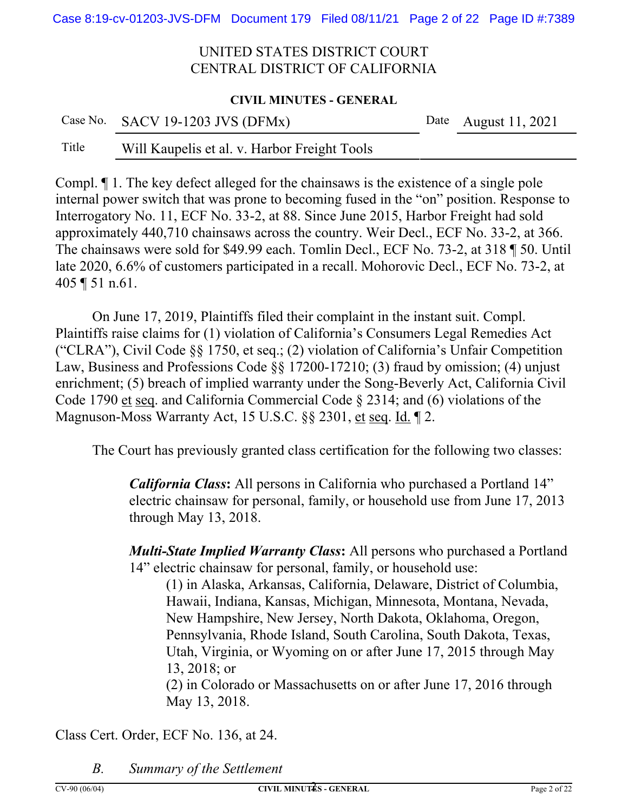#### **CIVIL MINUTES - GENERAL**

|       | Case No. SACV 19-1203 JVS (DFMx)             | Date August $11, 2021$ |
|-------|----------------------------------------------|------------------------|
| Title | Will Kaupelis et al. v. Harbor Freight Tools |                        |

Compl. ¶ 1. The key defect alleged for the chainsaws is the existence of a single pole internal power switch that was prone to becoming fused in the "on" position. Response to Interrogatory No. 11, ECF No. 33-2, at 88. Since June 2015, Harbor Freight had sold approximately 440,710 chainsaws across the country. Weir Decl., ECF No. 33-2, at 366. The chainsaws were sold for \$49.99 each. Tomlin Decl., ECF No. 73-2, at 318 ¶ 50. Until late 2020, 6.6% of customers participated in a recall. Mohorovic Decl., ECF No. 73-2, at 405 ¶ 51 n.61.

On June 17, 2019, Plaintiffs filed their complaint in the instant suit. Compl. Plaintiffs raise claims for (1) violation of California's Consumers Legal Remedies Act ("CLRA"), Civil Code §§ 1750, et seq.; (2) violation of California's Unfair Competition Law, Business and Professions Code §§ 17200-17210; (3) fraud by omission; (4) unjust enrichment; (5) breach of implied warranty under the Song-Beverly Act, California Civil Code 1790 et seq. and California Commercial Code § 2314; and (6) violations of the Magnuson-Moss Warranty Act, 15 U.S.C. §§ 2301, et seq. Id. 12.

The Court has previously granted class certification for the following two classes:

*California Class***:** All persons in California who purchased a Portland 14" electric chainsaw for personal, family, or household use from June 17, 2013 through May 13, 2018.

*Multi-State Implied Warranty Class***:** All persons who purchased a Portland 14" electric chainsaw for personal, family, or household use:

(1) in Alaska, Arkansas, California, Delaware, District of Columbia, Hawaii, Indiana, Kansas, Michigan, Minnesota, Montana, Nevada, New Hampshire, New Jersey, North Dakota, Oklahoma, Oregon, Pennsylvania, Rhode Island, South Carolina, South Dakota, Texas, Utah, Virginia, or Wyoming on or after June 17, 2015 through May 13, 2018; or

(2) in Colorado or Massachusetts on or after June 17, 2016 through May 13, 2018.

Class Cert. Order, ECF No. 136, at 24.

*B. Summary of the Settlement*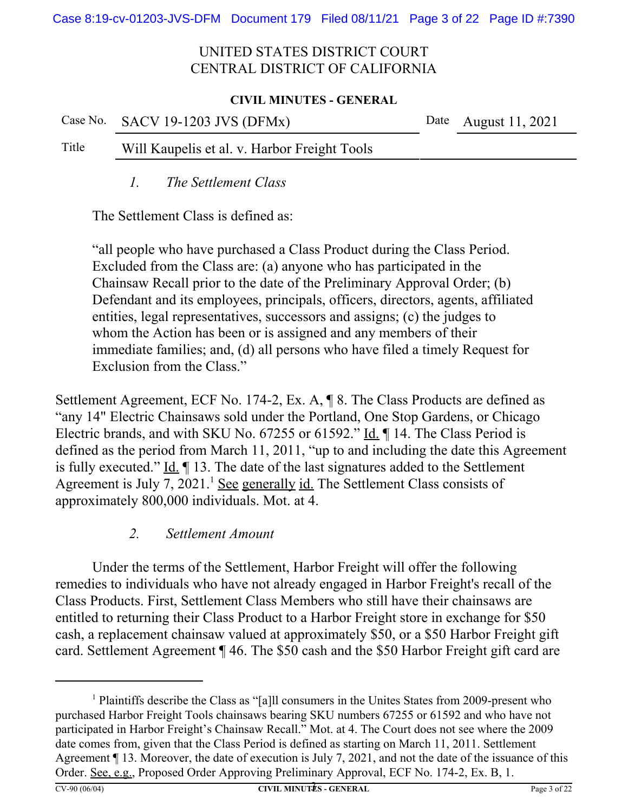#### **CIVIL MINUTES - GENERAL**

|       | Case No. $SACV$ 19-1203 JVS (DFMx)           | Date August 11, 2021 |
|-------|----------------------------------------------|----------------------|
| Title | Will Kaupelis et al. v. Harbor Freight Tools |                      |

*1. The Settlement Class*

The Settlement Class is defined as:

"all people who have purchased a Class Product during the Class Period. Excluded from the Class are: (a) anyone who has participated in the Chainsaw Recall prior to the date of the Preliminary Approval Order; (b) Defendant and its employees, principals, officers, directors, agents, affiliated entities, legal representatives, successors and assigns; (c) the judges to whom the Action has been or is assigned and any members of their immediate families; and, (d) all persons who have filed a timely Request for Exclusion from the Class."

Settlement Agreement, ECF No. 174-2, Ex. A, ¶ 8. The Class Products are defined as "any 14" Electric Chainsaws sold under the Portland, One Stop Gardens, or Chicago Electric brands, and with SKU No. 67255 or 61592." Id. ¶ 14. The Class Period is defined as the period from March 11, 2011, "up to and including the date this Agreement is fully executed." Id. ¶ 13. The date of the last signatures added to the Settlement Agreement is July 7, 2021.<sup>1</sup> See generally id. The Settlement Class consists of approximately 800,000 individuals. Mot. at 4.

## *2. Settlement Amount*

Under the terms of the Settlement, Harbor Freight will offer the following remedies to individuals who have not already engaged in Harbor Freight's recall of the Class Products. First, Settlement Class Members who still have their chainsaws are entitled to returning their Class Product to a Harbor Freight store in exchange for \$50 cash, a replacement chainsaw valued at approximately \$50, or a \$50 Harbor Freight gift card. Settlement Agreement ¶ 46. The \$50 cash and the \$50 Harbor Freight gift card are

<sup>&</sup>lt;sup>1</sup> Plaintiffs describe the Class as "[a]ll consumers in the Unites States from 2009-present who purchased Harbor Freight Tools chainsaws bearing SKU numbers 67255 or 61592 and who have not participated in Harbor Freight's Chainsaw Recall." Mot. at 4. The Court does not see where the 2009 date comes from, given that the Class Period is defined as starting on March 11, 2011. Settlement Agreement ¶ 13. Moreover, the date of execution is July 7, 2021, and not the date of the issuance of this Order. See, e.g., Proposed Order Approving Preliminary Approval, ECF No. 174-2, Ex. B, 1.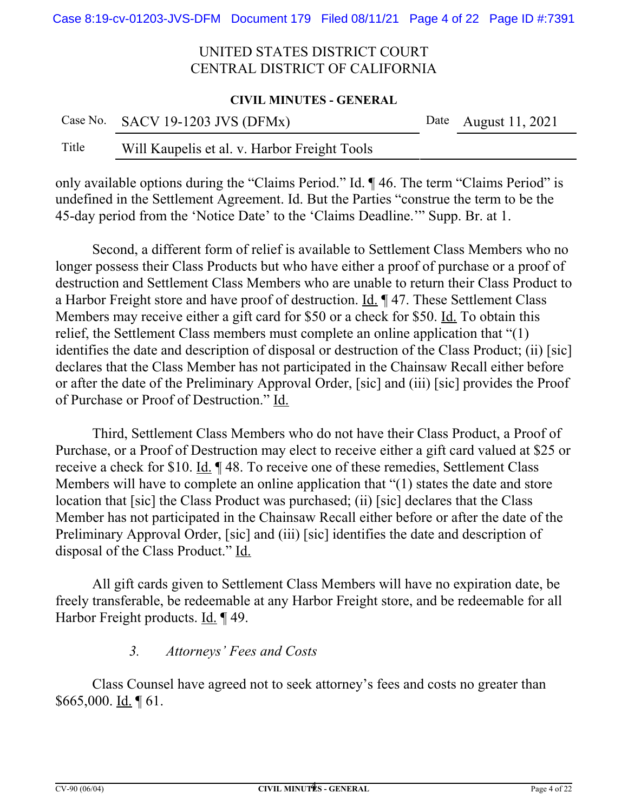#### **CIVIL MINUTES - GENERAL**

|       | Case No. SACV 19-1203 JVS (DFMx)             | Date August 11, 2021 |
|-------|----------------------------------------------|----------------------|
| Title | Will Kaupelis et al. v. Harbor Freight Tools |                      |

only available options during the "Claims Period." Id. ¶ 46. The term "Claims Period" is undefined in the Settlement Agreement. Id. But the Parties "construe the term to be the 45-day period from the 'Notice Date' to the 'Claims Deadline.'" Supp. Br. at 1.

Second, a different form of relief is available to Settlement Class Members who no longer possess their Class Products but who have either a proof of purchase or a proof of destruction and Settlement Class Members who are unable to return their Class Product to a Harbor Freight store and have proof of destruction. Id. ¶ 47. These Settlement Class Members may receive either a gift card for \$50 or a check for \$50. Id. To obtain this relief, the Settlement Class members must complete an online application that "(1) identifies the date and description of disposal or destruction of the Class Product; (ii) [sic] declares that the Class Member has not participated in the Chainsaw Recall either before or after the date of the Preliminary Approval Order, [sic] and (iii) [sic] provides the Proof of Purchase or Proof of Destruction." Id.

Third, Settlement Class Members who do not have their Class Product, a Proof of Purchase, or a Proof of Destruction may elect to receive either a gift card valued at \$25 or receive a check for \$10. Id. ¶ 48. To receive one of these remedies, Settlement Class Members will have to complete an online application that "(1) states the date and store location that [sic] the Class Product was purchased; (ii) [sic] declares that the Class Member has not participated in the Chainsaw Recall either before or after the date of the Preliminary Approval Order, [sic] and (iii) [sic] identifies the date and description of disposal of the Class Product." Id.

All gift cards given to Settlement Class Members will have no expiration date, be freely transferable, be redeemable at any Harbor Freight store, and be redeemable for all Harbor Freight products. Id. ¶ 49.

## *3. Attorneys' Fees and Costs*

Class Counsel have agreed not to seek attorney's fees and costs no greater than \$665,000. Id. ¶ 61.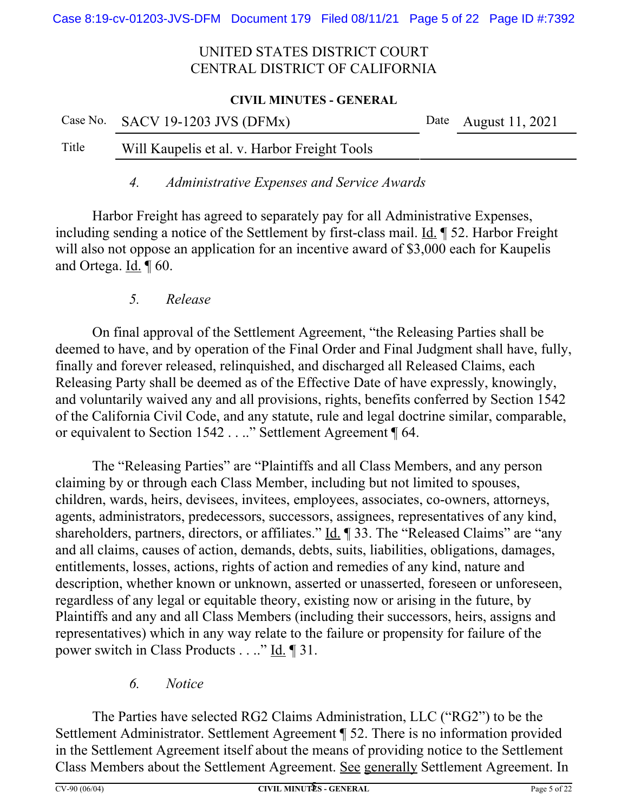#### **CIVIL MINUTES - GENERAL**

|       | Case No. SACV 19-1203 JVS (DFMx)             | Date August 11, 2021 |
|-------|----------------------------------------------|----------------------|
| Title | Will Kaupelis et al. v. Harbor Freight Tools |                      |

*4. Administrative Expenses and Service Awards*

Harbor Freight has agreed to separately pay for all Administrative Expenses, including sending a notice of the Settlement by first-class mail. Id. ¶ 52. Harbor Freight will also not oppose an application for an incentive award of \$3,000 each for Kaupelis and Ortega. Id. 1 60.

## *5. Release*

On final approval of the Settlement Agreement, "the Releasing Parties shall be deemed to have, and by operation of the Final Order and Final Judgment shall have, fully, finally and forever released, relinquished, and discharged all Released Claims, each Releasing Party shall be deemed as of the Effective Date of have expressly, knowingly, and voluntarily waived any and all provisions, rights, benefits conferred by Section 1542 of the California Civil Code, and any statute, rule and legal doctrine similar, comparable, or equivalent to Section 1542 . . .." Settlement Agreement ¶ 64.

The "Releasing Parties" are "Plaintiffs and all Class Members, and any person claiming by or through each Class Member, including but not limited to spouses, children, wards, heirs, devisees, invitees, employees, associates, co-owners, attorneys, agents, administrators, predecessors, successors, assignees, representatives of any kind, shareholders, partners, directors, or affiliates." Id. ¶ 33. The "Released Claims" are "any and all claims, causes of action, demands, debts, suits, liabilities, obligations, damages, entitlements, losses, actions, rights of action and remedies of any kind, nature and description, whether known or unknown, asserted or unasserted, foreseen or unforeseen, regardless of any legal or equitable theory, existing now or arising in the future, by Plaintiffs and any and all Class Members (including their successors, heirs, assigns and representatives) which in any way relate to the failure or propensity for failure of the power switch in Class Products . . .." Id. ¶ 31.

## *6. Notice*

The Parties have selected RG2 Claims Administration, LLC ("RG2") to be the Settlement Administrator. Settlement Agreement ¶ 52. There is no information provided in the Settlement Agreement itself about the means of providing notice to the Settlement Class Members about the Settlement Agreement. See generally Settlement Agreement. In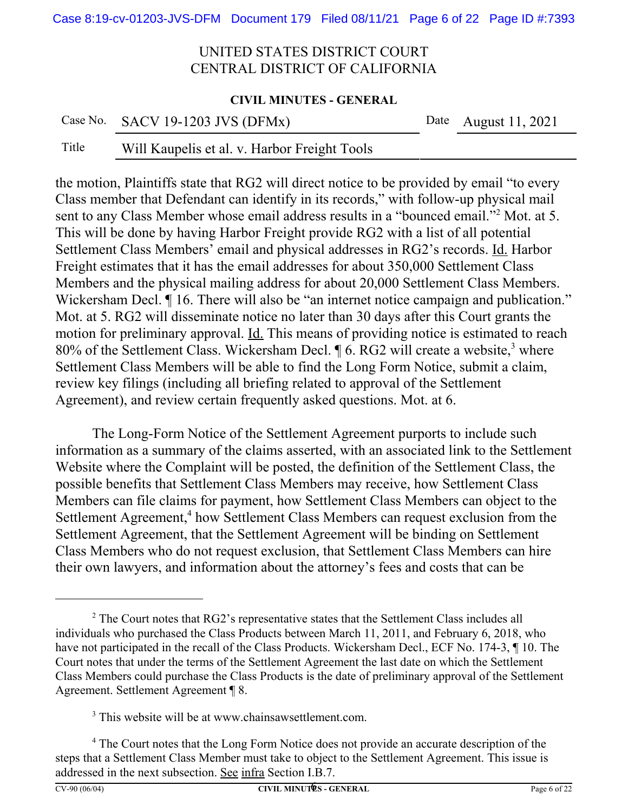#### **CIVIL MINUTES - GENERAL**

|       | Case No. SACV 19-1203 JVS (DFMx)             | Date August 11, 2021 |
|-------|----------------------------------------------|----------------------|
| Title | Will Kaupelis et al. v. Harbor Freight Tools |                      |

the motion, Plaintiffs state that RG2 will direct notice to be provided by email "to every Class member that Defendant can identify in its records," with follow-up physical mail sent to any Class Member whose email address results in a "bounced email."<sup>2</sup> Mot. at 5. This will be done by having Harbor Freight provide RG2 with a list of all potential Settlement Class Members' email and physical addresses in RG2's records. Id. Harbor Freight estimates that it has the email addresses for about 350,000 Settlement Class Members and the physical mailing address for about 20,000 Settlement Class Members. Wickersham Decl.  $\P$  16. There will also be "an internet notice campaign and publication." Mot. at 5. RG2 will disseminate notice no later than 30 days after this Court grants the motion for preliminary approval. Id. This means of providing notice is estimated to reach 80% of the Settlement Class. Wickersham Decl.  $\P$  6. RG2 will create a website,<sup>3</sup> where Settlement Class Members will be able to find the Long Form Notice, submit a claim, review key filings (including all briefing related to approval of the Settlement Agreement), and review certain frequently asked questions. Mot. at 6.

The Long-Form Notice of the Settlement Agreement purports to include such information as a summary of the claims asserted, with an associated link to the Settlement Website where the Complaint will be posted, the definition of the Settlement Class, the possible benefits that Settlement Class Members may receive, how Settlement Class Members can file claims for payment, how Settlement Class Members can object to the Settlement Agreement,<sup>4</sup> how Settlement Class Members can request exclusion from the Settlement Agreement, that the Settlement Agreement will be binding on Settlement Class Members who do not request exclusion, that Settlement Class Members can hire their own lawyers, and information about the attorney's fees and costs that can be

 $2^2$  The Court notes that RG2's representative states that the Settlement Class includes all individuals who purchased the Class Products between March 11, 2011, and February 6, 2018, who have not participated in the recall of the Class Products. Wickersham Decl., ECF No. 174-3, ¶ 10. The Court notes that under the terms of the Settlement Agreement the last date on which the Settlement Class Members could purchase the Class Products is the date of preliminary approval of the Settlement Agreement. Settlement Agreement ¶ 8.

<sup>&</sup>lt;sup>3</sup> This website will be at www.chainsawsettlement.com.

<sup>&</sup>lt;sup>4</sup> The Court notes that the Long Form Notice does not provide an accurate description of the steps that a Settlement Class Member must take to object to the Settlement Agreement. This issue is addressed in the next subsection. See infra Section I.B.7.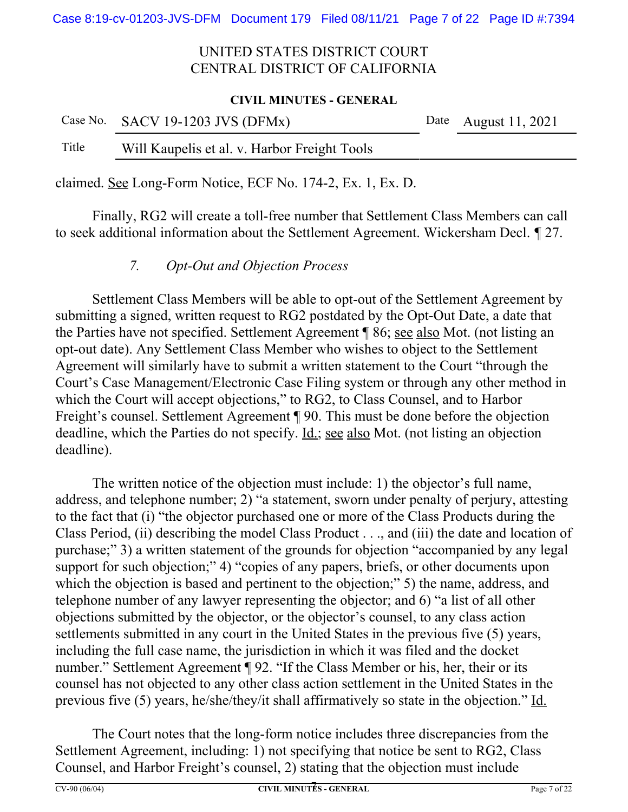#### **CIVIL MINUTES - GENERAL**

|       | Case No. SACV 19-1203 JVS (DFMx)             | Date August 11, 2021 |
|-------|----------------------------------------------|----------------------|
| Title | Will Kaupelis et al. v. Harbor Freight Tools |                      |

claimed. See Long-Form Notice, ECF No. 174-2, Ex. 1, Ex. D.

Finally, RG2 will create a toll-free number that Settlement Class Members can call to seek additional information about the Settlement Agreement. Wickersham Decl. *¶* 27.

*7. Opt-Out and Objection Process*

Settlement Class Members will be able to opt-out of the Settlement Agreement by submitting a signed, written request to RG2 postdated by the Opt-Out Date, a date that the Parties have not specified. Settlement Agreement ¶ 86; see also Mot. (not listing an opt-out date). Any Settlement Class Member who wishes to object to the Settlement Agreement will similarly have to submit a written statement to the Court "through the Court's Case Management/Electronic Case Filing system or through any other method in which the Court will accept objections," to RG2, to Class Counsel, and to Harbor Freight's counsel. Settlement Agreement ¶ 90. This must be done before the objection deadline, which the Parties do not specify. <u>Id.; see also</u> Mot. (not listing an objection deadline).

The written notice of the objection must include: 1) the objector's full name, address, and telephone number; 2) "a statement, sworn under penalty of perjury, attesting to the fact that (i) "the objector purchased one or more of the Class Products during the Class Period, (ii) describing the model Class Product . . ., and (iii) the date and location of purchase;" 3) a written statement of the grounds for objection "accompanied by any legal support for such objection;" 4) "copies of any papers, briefs, or other documents upon which the objection is based and pertinent to the objection;" 5) the name, address, and telephone number of any lawyer representing the objector; and 6) "a list of all other objections submitted by the objector, or the objector's counsel, to any class action settlements submitted in any court in the United States in the previous five (5) years, including the full case name, the jurisdiction in which it was filed and the docket number." Settlement Agreement ¶ 92. "If the Class Member or his, her, their or its counsel has not objected to any other class action settlement in the United States in the previous five (5) years, he/she/they/it shall affirmatively so state in the objection." Id.

The Court notes that the long-form notice includes three discrepancies from the Settlement Agreement, including: 1) not specifying that notice be sent to RG2, Class Counsel, and Harbor Freight's counsel, 2) stating that the objection must include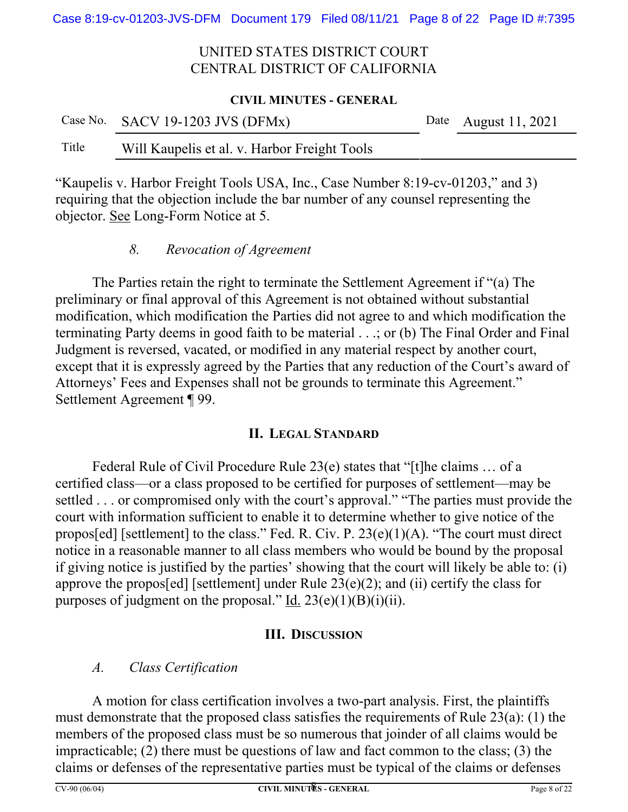#### **CIVIL MINUTES - GENERAL**

|       | Case No. SACV 19-1203 JVS (DFMx)             | Date August 11, 2021 |
|-------|----------------------------------------------|----------------------|
| Title | Will Kaupelis et al. v. Harbor Freight Tools |                      |

"Kaupelis v. Harbor Freight Tools USA, Inc., Case Number 8:19-cv-01203," and 3) requiring that the objection include the bar number of any counsel representing the objector. See Long-Form Notice at 5.

### *8. Revocation of Agreement*

The Parties retain the right to terminate the Settlement Agreement if "(a) The preliminary or final approval of this Agreement is not obtained without substantial modification, which modification the Parties did not agree to and which modification the terminating Party deems in good faith to be material . . .; or (b) The Final Order and Final Judgment is reversed, vacated, or modified in any material respect by another court, except that it is expressly agreed by the Parties that any reduction of the Court's award of Attorneys' Fees and Expenses shall not be grounds to terminate this Agreement." Settlement Agreement ¶ 99.

## **II. LEGAL STANDARD**

Federal Rule of Civil Procedure Rule 23(e) states that "[t]he claims … of a certified class—or a class proposed to be certified for purposes of settlement—may be settled . . . or compromised only with the court's approval." "The parties must provide the court with information sufficient to enable it to determine whether to give notice of the propos[ed] [settlement] to the class." Fed. R. Civ. P. 23(e)(1)(A). "The court must direct notice in a reasonable manner to all class members who would be bound by the proposal if giving notice is justified by the parties' showing that the court will likely be able to: (i) approve the propos[ed] [settlement] under Rule  $23(e)(2)$ ; and (ii) certify the class for purposes of judgment on the proposal." Id.  $23(e)(1)(B)(i)(ii)$ .

### **III. DISCUSSION**

# *A. Class Certification*

A motion for class certification involves a two-part analysis. First, the plaintiffs must demonstrate that the proposed class satisfies the requirements of Rule 23(a): (1) the members of the proposed class must be so numerous that joinder of all claims would be impracticable; (2) there must be questions of law and fact common to the class; (3) the claims or defenses of the representative parties must be typical of the claims or defenses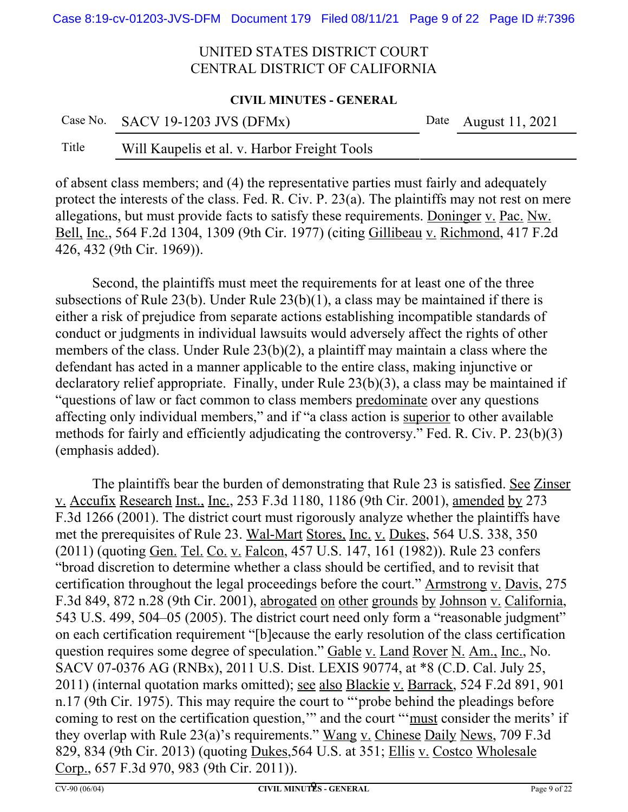#### **CIVIL MINUTES - GENERAL**

|       | Case No. SACV 19-1203 JVS (DFMx)             | Date August $11, 2021$ |
|-------|----------------------------------------------|------------------------|
| Title | Will Kaupelis et al. v. Harbor Freight Tools |                        |

of absent class members; and (4) the representative parties must fairly and adequately protect the interests of the class. Fed. R. Civ. P. 23(a). The plaintiffs may not rest on mere allegations, but must provide facts to satisfy these requirements. Doninger v. Pac. Nw. Bell, Inc., 564 F.2d 1304, 1309 (9th Cir. 1977) (citing Gillibeau v. Richmond, 417 F.2d 426, 432 (9th Cir. 1969)).

Second, the plaintiffs must meet the requirements for at least one of the three subsections of Rule 23(b). Under Rule 23(b)(1), a class may be maintained if there is either a risk of prejudice from separate actions establishing incompatible standards of conduct or judgments in individual lawsuits would adversely affect the rights of other members of the class. Under Rule 23(b)(2), a plaintiff may maintain a class where the defendant has acted in a manner applicable to the entire class, making injunctive or declaratory relief appropriate. Finally, under Rule 23(b)(3), a class may be maintained if "questions of law or fact common to class members predominate over any questions affecting only individual members," and if "a class action is superior to other available methods for fairly and efficiently adjudicating the controversy." Fed. R. Civ. P. 23(b)(3) (emphasis added).

The plaintiffs bear the burden of demonstrating that Rule 23 is satisfied. See Zinser v. Accufix Research Inst., Inc., 253 F.3d 1180, 1186 (9th Cir. 2001), amended by 273 F.3d 1266 (2001). The district court must rigorously analyze whether the plaintiffs have met the prerequisites of Rule 23. Wal-Mart Stores, Inc. v. Dukes, 564 U.S. 338, 350 (2011) (quoting Gen. Tel. Co. v. Falcon, 457 U.S. 147, 161 (1982)). Rule 23 confers "broad discretion to determine whether a class should be certified, and to revisit that certification throughout the legal proceedings before the court." Armstrong v. Davis, 275 F.3d 849, 872 n.28 (9th Cir. 2001), abrogated on other grounds by Johnson v. California, 543 U.S. 499, 504–05 (2005). The district court need only form a "reasonable judgment" on each certification requirement "[b]ecause the early resolution of the class certification question requires some degree of speculation." Gable v. Land Rover N. Am., Inc., No. SACV 07-0376 AG (RNBx), 2011 U.S. Dist. LEXIS 90774, at \*8 (C.D. Cal. July 25, 2011) (internal quotation marks omitted); see also Blackie v. Barrack, 524 F.2d 891, 901 n.17 (9th Cir. 1975). This may require the court to "'probe behind the pleadings before coming to rest on the certification question," and the court ""must consider the merits' if they overlap with Rule 23(a)'s requirements." Wang v. Chinese Daily News, 709 F.3d 829, 834 (9th Cir. 2013) (quoting Dukes,564 U.S. at 351; Ellis v. Costco Wholesale Corp., 657 F.3d 970, 983 (9th Cir. 2011)).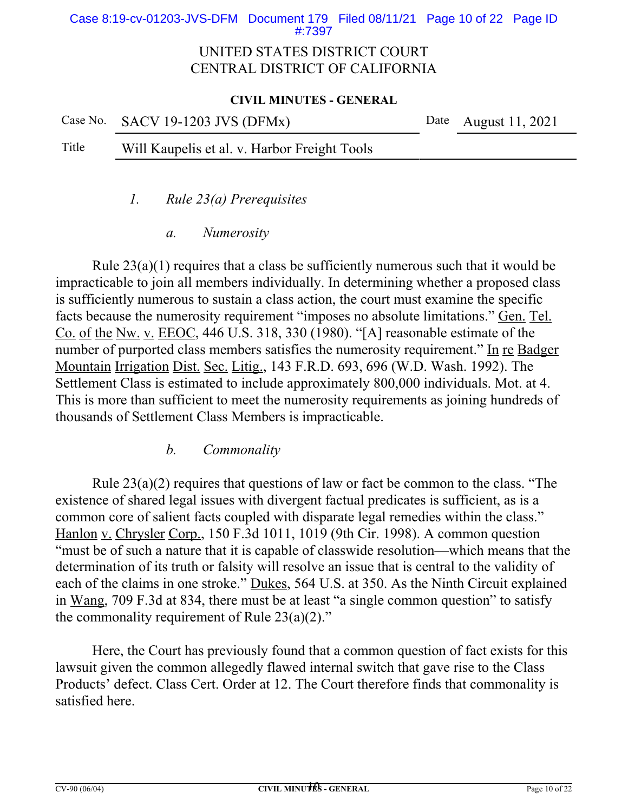#### Case 8:19-cv-01203-JVS-DFM Document 179 Filed 08/11/21 Page 10 of 22 Page ID #:7397

## UNITED STATES DISTRICT COURT CENTRAL DISTRICT OF CALIFORNIA

#### **CIVIL MINUTES - GENERAL**

|       | Case No. SACV 19-1203 JVS (DFMx)             | Date August 11, 2021 |
|-------|----------------------------------------------|----------------------|
| Title | Will Kaupelis et al. v. Harbor Freight Tools |                      |

*1. Rule 23(a) Prerequisites*

*a. Numerosity*

Rule  $23(a)(1)$  requires that a class be sufficiently numerous such that it would be impracticable to join all members individually. In determining whether a proposed class is sufficiently numerous to sustain a class action, the court must examine the specific facts because the numerosity requirement "imposes no absolute limitations." Gen. Tel. Co. of the Nw. v. EEOC, 446 U.S. 318, 330 (1980). "[A] reasonable estimate of the number of purported class members satisfies the numerosity requirement." In re Badger Mountain Irrigation Dist. Sec. Litig., 143 F.R.D. 693, 696 (W.D. Wash. 1992). The Settlement Class is estimated to include approximately 800,000 individuals. Mot. at 4. This is more than sufficient to meet the numerosity requirements as joining hundreds of thousands of Settlement Class Members is impracticable.

## *b. Commonality*

Rule 23(a)(2) requires that questions of law or fact be common to the class. "The existence of shared legal issues with divergent factual predicates is sufficient, as is a common core of salient facts coupled with disparate legal remedies within the class." Hanlon v. Chrysler Corp., 150 F.3d 1011, 1019 (9th Cir. 1998). A common question "must be of such a nature that it is capable of classwide resolution—which means that the determination of its truth or falsity will resolve an issue that is central to the validity of each of the claims in one stroke." Dukes, 564 U.S. at 350. As the Ninth Circuit explained in Wang, 709 F.3d at 834, there must be at least "a single common question" to satisfy the commonality requirement of Rule  $23(a)(2)$ ."

Here, the Court has previously found that a common question of fact exists for this lawsuit given the common allegedly flawed internal switch that gave rise to the Class Products' defect. Class Cert. Order at 12. The Court therefore finds that commonality is satisfied here.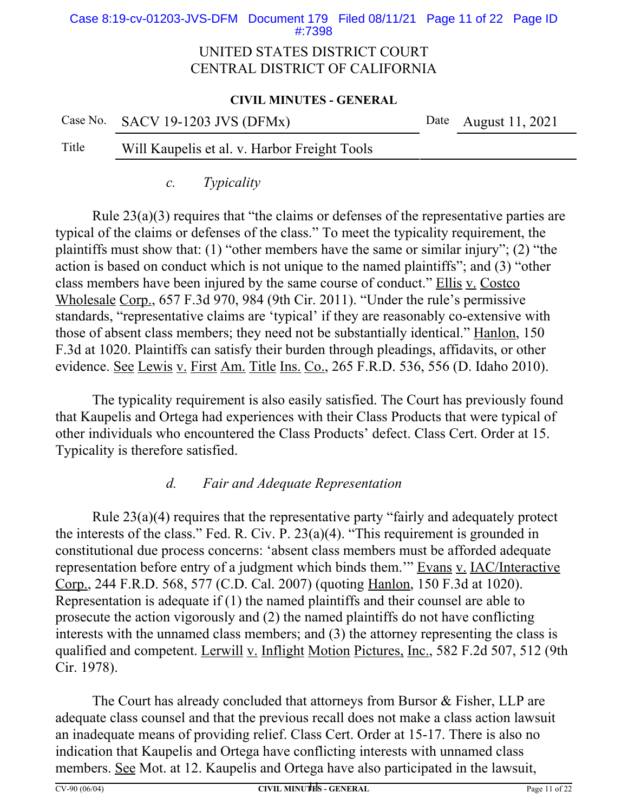Case 8:19-cv-01203-JVS-DFM Document 179 Filed 08/11/21 Page 11 of 22 Page ID #:7398

### UNITED STATES DISTRICT COURT CENTRAL DISTRICT OF CALIFORNIA

#### **CIVIL MINUTES - GENERAL**

| Case No. $SACV$ 19-1203 JVS (DFMx) |  |
|------------------------------------|--|
|                                    |  |

Date August 11, 2021

## Title Will Kaupelis et al. v. Harbor Freight Tools

*c. Typicality*

Rule 23(a)(3) requires that "the claims or defenses of the representative parties are typical of the claims or defenses of the class." To meet the typicality requirement, the plaintiffs must show that: (1) "other members have the same or similar injury"; (2) "the action is based on conduct which is not unique to the named plaintiffs"; and (3) "other class members have been injured by the same course of conduct." Ellis v. Costco Wholesale Corp., 657 F.3d 970, 984 (9th Cir. 2011). "Under the rule's permissive standards, "representative claims are 'typical' if they are reasonably co-extensive with those of absent class members; they need not be substantially identical." Hanlon, 150 F.3d at 1020. Plaintiffs can satisfy their burden through pleadings, affidavits, or other evidence. See Lewis v. First Am. Title Ins. Co., 265 F.R.D. 536, 556 (D. Idaho 2010).

The typicality requirement is also easily satisfied. The Court has previously found that Kaupelis and Ortega had experiences with their Class Products that were typical of other individuals who encountered the Class Products' defect. Class Cert. Order at 15. Typicality is therefore satisfied.

# *d. Fair and Adequate Representation*

Rule 23(a)(4) requires that the representative party "fairly and adequately protect the interests of the class." Fed. R. Civ. P. 23(a)(4). "This requirement is grounded in constitutional due process concerns: 'absent class members must be afforded adequate representation before entry of a judgment which binds them." Evans v. IAC/Interactive Corp., 244 F.R.D. 568, 577 (C.D. Cal. 2007) (quoting Hanlon, 150 F.3d at 1020). Representation is adequate if (1) the named plaintiffs and their counsel are able to prosecute the action vigorously and (2) the named plaintiffs do not have conflicting interests with the unnamed class members; and (3) the attorney representing the class is qualified and competent. Lerwill v. Inflight Motion Pictures, Inc., 582 F.2d 507, 512 (9th Cir. 1978).

The Court has already concluded that attorneys from Bursor & Fisher, LLP are adequate class counsel and that the previous recall does not make a class action lawsuit an inadequate means of providing relief. Class Cert. Order at 15-17. There is also no indication that Kaupelis and Ortega have conflicting interests with unnamed class members. See Mot. at 12. Kaupelis and Ortega have also participated in the lawsuit,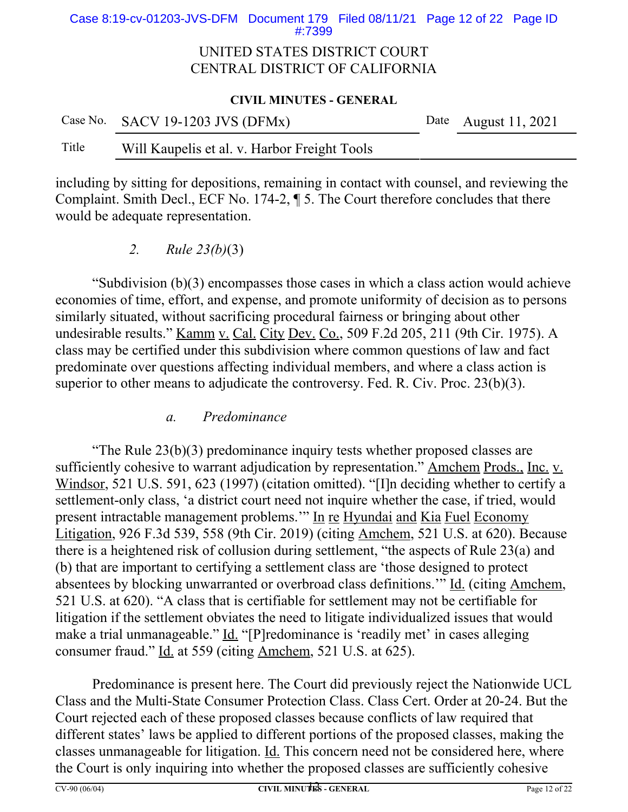Case 8:19-cv-01203-JVS-DFM Document 179 Filed 08/11/21 Page 12 of 22 Page ID #:7399

### UNITED STATES DISTRICT COURT CENTRAL DISTRICT OF CALIFORNIA

#### **CIVIL MINUTES - GENERAL**

|       | Case No. SACV 19-1203 JVS (DFMx)             | Date August 11, 2021 |
|-------|----------------------------------------------|----------------------|
| Title | Will Kaupelis et al. v. Harbor Freight Tools |                      |

including by sitting for depositions, remaining in contact with counsel, and reviewing the Complaint. Smith Decl., ECF No. 174-2, ¶ 5. The Court therefore concludes that there would be adequate representation.

*2. Rule 23(b)*(3)

"Subdivision (b)(3) encompasses those cases in which a class action would achieve economies of time, effort, and expense, and promote uniformity of decision as to persons similarly situated, without sacrificing procedural fairness or bringing about other undesirable results." Kamm v. Cal. City Dev. Co., 509 F.2d 205, 211 (9th Cir. 1975). A class may be certified under this subdivision where common questions of law and fact predominate over questions affecting individual members, and where a class action is superior to other means to adjudicate the controversy. Fed. R. Civ. Proc. 23(b)(3).

*a. Predominance*

"The Rule 23(b)(3) predominance inquiry tests whether proposed classes are sufficiently cohesive to warrant adjudication by representation." Amchem Prods., Inc. v. Windsor, 521 U.S. 591, 623 (1997) (citation omitted). "[I]n deciding whether to certify a settlement-only class, 'a district court need not inquire whether the case, if tried, would present intractable management problems." In re Hyundai and Kia Fuel Economy Litigation, 926 F.3d 539, 558 (9th Cir. 2019) (citing Amchem, 521 U.S. at 620). Because there is a heightened risk of collusion during settlement, "the aspects of Rule 23(a) and (b) that are important to certifying a settlement class are 'those designed to protect absentees by blocking unwarranted or overbroad class definitions." Id. (citing Amchem, 521 U.S. at 620). "A class that is certifiable for settlement may not be certifiable for litigation if the settlement obviates the need to litigate individualized issues that would make a trial unmanageable." Id. "[P]redominance is 'readily met' in cases alleging consumer fraud." Id. at 559 (citing Amchem, 521 U.S. at 625).

Predominance is present here. The Court did previously reject the Nationwide UCL Class and the Multi-State Consumer Protection Class. Class Cert. Order at 20-24. But the Court rejected each of these proposed classes because conflicts of law required that different states' laws be applied to different portions of the proposed classes, making the classes unmanageable for litigation. Id. This concern need not be considered here, where the Court is only inquiring into whether the proposed classes are sufficiently cohesive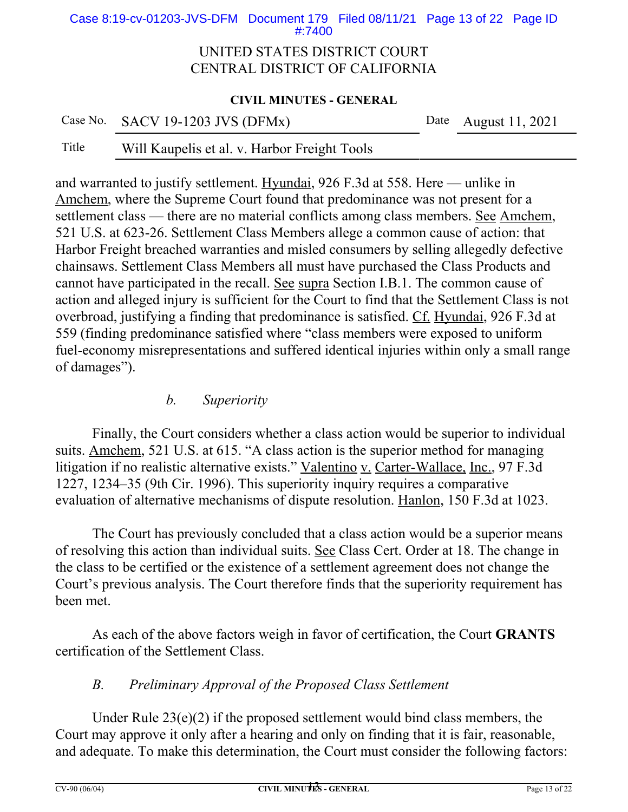Case 8:19-cv-01203-JVS-DFM Document 179 Filed 08/11/21 Page 13 of 22 Page ID #:7400

### UNITED STATES DISTRICT COURT CENTRAL DISTRICT OF CALIFORNIA

#### **CIVIL MINUTES - GENERAL**

| Case No. SACV 19-1203 JVS (DFMx) | Date August 11, 2021 |
|----------------------------------|----------------------|
|                                  |                      |

# Title Will Kaupelis et al. v. Harbor Freight Tools

and warranted to justify settlement. Hyundai, 926 F.3d at 558. Here — unlike in Amchem, where the Supreme Court found that predominance was not present for a settlement class — there are no material conflicts among class members. See Amchem, 521 U.S. at 623-26. Settlement Class Members allege a common cause of action: that Harbor Freight breached warranties and misled consumers by selling allegedly defective chainsaws. Settlement Class Members all must have purchased the Class Products and cannot have participated in the recall. See supra Section I.B.1. The common cause of action and alleged injury is sufficient for the Court to find that the Settlement Class is not overbroad, justifying a finding that predominance is satisfied. Cf. Hyundai, 926 F.3d at 559 (finding predominance satisfied where "class members were exposed to uniform fuel-economy misrepresentations and suffered identical injuries within only a small range of damages").

### *b. Superiority*

Finally, the Court considers whether a class action would be superior to individual suits. Amchem, 521 U.S. at 615. "A class action is the superior method for managing litigation if no realistic alternative exists." Valentino v. Carter-Wallace, Inc., 97 F.3d 1227, 1234–35 (9th Cir. 1996). This superiority inquiry requires a comparative evaluation of alternative mechanisms of dispute resolution. Hanlon, 150 F.3d at 1023.

The Court has previously concluded that a class action would be a superior means of resolving this action than individual suits. See Class Cert. Order at 18. The change in the class to be certified or the existence of a settlement agreement does not change the Court's previous analysis. The Court therefore finds that the superiority requirement has been met.

As each of the above factors weigh in favor of certification, the Court **GRANTS** certification of the Settlement Class.

## *B. Preliminary Approval of the Proposed Class Settlement*

Under Rule 23(e)(2) if the proposed settlement would bind class members, the Court may approve it only after a hearing and only on finding that it is fair, reasonable, and adequate. To make this determination, the Court must consider the following factors: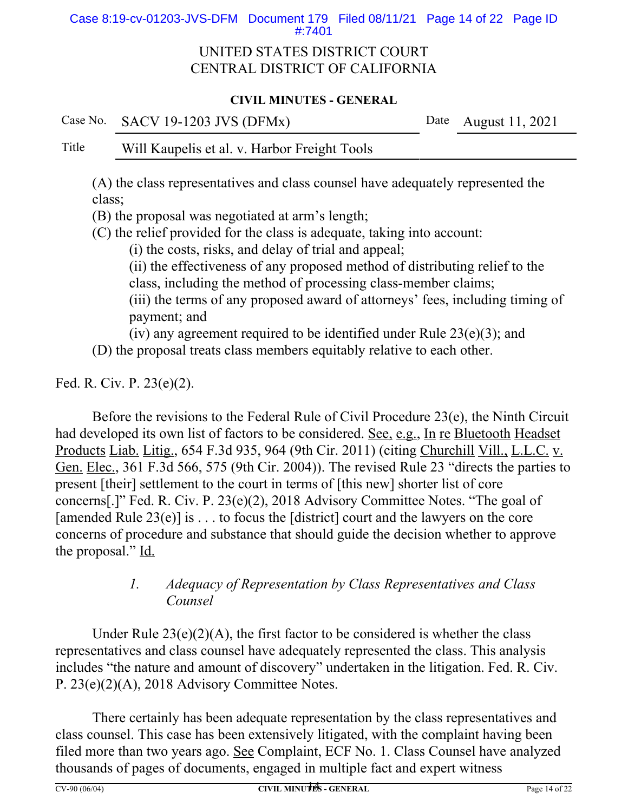Case 8:19-cv-01203-JVS-DFM Document 179 Filed 08/11/21 Page 14 of 22 Page ID #:7401

### UNITED STATES DISTRICT COURT CENTRAL DISTRICT OF CALIFORNIA

### **CIVIL MINUTES - GENERAL**

Case No. SACV 19-1203 JVS (DFMx) Date August 11, 2021

## Title Will Kaupelis et al. v. Harbor Freight Tools

(A) the class representatives and class counsel have adequately represented the class;

(B) the proposal was negotiated at arm's length;

(C) the relief provided for the class is adequate, taking into account:

(i) the costs, risks, and delay of trial and appeal;

(ii) the effectiveness of any proposed method of distributing relief to the class, including the method of processing class-member claims;

(iii) the terms of any proposed award of attorneys' fees, including timing of payment; and

(iv) any agreement required to be identified under Rule 23(e)(3); and

(D) the proposal treats class members equitably relative to each other.

Fed. R. Civ. P. 23(e)(2).

Before the revisions to the Federal Rule of Civil Procedure 23(e), the Ninth Circuit had developed its own list of factors to be considered. See, e.g., In re Bluetooth Headset Products Liab. Litig., 654 F.3d 935, 964 (9th Cir. 2011) (citing Churchill Vill., L.L.C. v. Gen. Elec., 361 F.3d 566, 575 (9th Cir. 2004)). The revised Rule 23 "directs the parties to present [their] settlement to the court in terms of [this new] shorter list of core concerns[.]" Fed. R. Civ. P. 23(e)(2), 2018 Advisory Committee Notes. "The goal of [amended Rule  $23(e)$ ] is ... to focus the [district] court and the lawyers on the core concerns of procedure and substance that should guide the decision whether to approve the proposal." Id.

## *1. Adequacy of Representation by Class Representatives and Class Counsel*

Under Rule  $23(e)(2)(A)$ , the first factor to be considered is whether the class representatives and class counsel have adequately represented the class. This analysis includes "the nature and amount of discovery" undertaken in the litigation. Fed. R. Civ. P. 23(e)(2)(A), 2018 Advisory Committee Notes.

There certainly has been adequate representation by the class representatives and class counsel. This case has been extensively litigated, with the complaint having been filed more than two years ago. See Complaint, ECF No. 1. Class Counsel have analyzed thousands of pages of documents, engaged in multiple fact and expert witness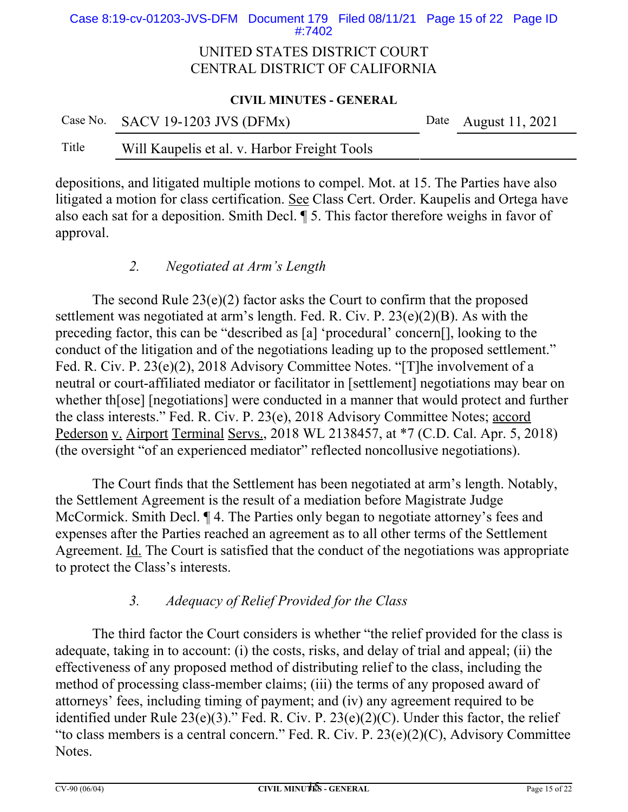Case 8:19-cv-01203-JVS-DFM Document 179 Filed 08/11/21 Page 15 of 22 Page ID #:7402

### UNITED STATES DISTRICT COURT CENTRAL DISTRICT OF CALIFORNIA

#### **CIVIL MINUTES - GENERAL**

|       | Case No. SACV 19-1203 JVS (DFMx)             | Date August 11, 2021 |
|-------|----------------------------------------------|----------------------|
| Title | Will Kaupelis et al. v. Harbor Freight Tools |                      |

depositions, and litigated multiple motions to compel. Mot. at 15. The Parties have also litigated a motion for class certification. See Class Cert. Order. Kaupelis and Ortega have also each sat for a deposition. Smith Decl. ¶ 5. This factor therefore weighs in favor of approval.

### *2. Negotiated at Arm's Length*

The second Rule  $23(e)(2)$  factor asks the Court to confirm that the proposed settlement was negotiated at arm's length. Fed. R. Civ. P. 23(e)(2)(B). As with the preceding factor, this can be "described as [a] 'procedural' concern[], looking to the conduct of the litigation and of the negotiations leading up to the proposed settlement." Fed. R. Civ. P. 23(e)(2), 2018 Advisory Committee Notes. "[T]he involvement of a neutral or court-affiliated mediator or facilitator in [settlement] negotiations may bear on whether th[ose] [negotiations] were conducted in a manner that would protect and further the class interests." Fed. R. Civ. P. 23(e), 2018 Advisory Committee Notes; accord Pederson v. Airport Terminal Servs., 2018 WL 2138457, at \*7 (C.D. Cal. Apr. 5, 2018) (the oversight "of an experienced mediator" reflected noncollusive negotiations).

The Court finds that the Settlement has been negotiated at arm's length. Notably, the Settlement Agreement is the result of a mediation before Magistrate Judge McCormick. Smith Decl. ¶ 4. The Parties only began to negotiate attorney's fees and expenses after the Parties reached an agreement as to all other terms of the Settlement Agreement. Id. The Court is satisfied that the conduct of the negotiations was appropriate to protect the Class's interests.

## *3. Adequacy of Relief Provided for the Class*

The third factor the Court considers is whether "the relief provided for the class is adequate, taking in to account: (i) the costs, risks, and delay of trial and appeal; (ii) the effectiveness of any proposed method of distributing relief to the class, including the method of processing class-member claims; (iii) the terms of any proposed award of attorneys' fees, including timing of payment; and (iv) any agreement required to be identified under Rule  $23(e)(3)$ ." Fed. R. Civ. P.  $23(e)(2)(C)$ . Under this factor, the relief "to class members is a central concern." Fed. R. Civ. P. 23(e)(2)(C), Advisory Committee Notes.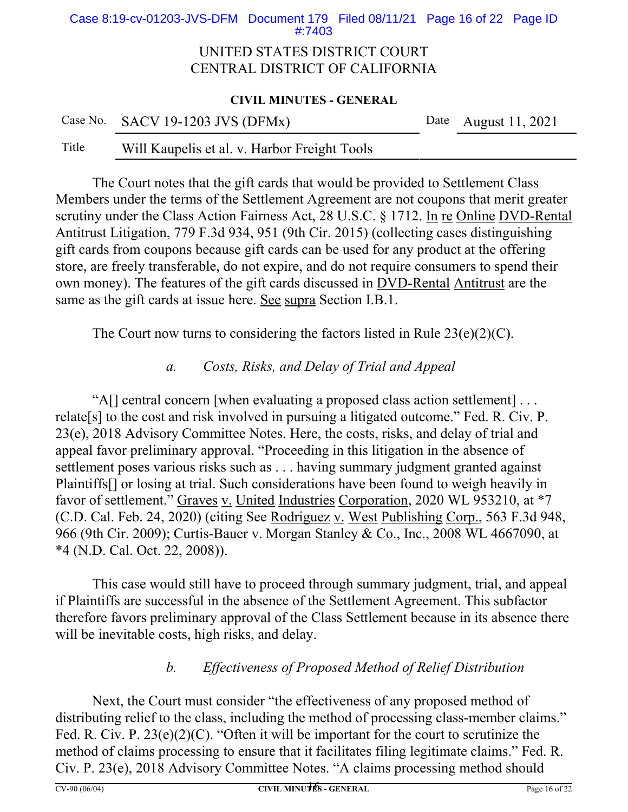Case 8:19-cv-01203-JVS-DFM Document 179 Filed 08/11/21 Page 16 of 22 Page ID #:7403

### UNITED STATES DISTRICT COURT CENTRAL DISTRICT OF CALIFORNIA

#### **CIVIL MINUTES - GENERAL**

|       | Case No. SACV 19-1203 JVS (DFMx)             | Date August 11, 2021 |
|-------|----------------------------------------------|----------------------|
| Title | Will Kaupelis et al. v. Harbor Freight Tools |                      |

The Court notes that the gift cards that would be provided to Settlement Class Members under the terms of the Settlement Agreement are not coupons that merit greater scrutiny under the Class Action Fairness Act, 28 U.S.C. § 1712. In re Online DVD-Rental Antitrust Litigation, 779 F.3d 934, 951 (9th Cir. 2015) (collecting cases distinguishing gift cards from coupons because gift cards can be used for any product at the offering store, are freely transferable, do not expire, and do not require consumers to spend their own money). The features of the gift cards discussed in DVD-Rental Antitrust are the same as the gift cards at issue here. See supra Section I.B.1.

The Court now turns to considering the factors listed in Rule  $23(e)(2)(C)$ .

### *a. Costs, Risks, and Delay of Trial and Appeal*

"A[] central concern [when evaluating a proposed class action settlement] . . . relate[s] to the cost and risk involved in pursuing a litigated outcome." Fed. R. Civ. P. 23(e), 2018 Advisory Committee Notes. Here, the costs, risks, and delay of trial and appeal favor preliminary approval. "Proceeding in this litigation in the absence of settlement poses various risks such as . . . having summary judgment granted against Plaintiffs[] or losing at trial. Such considerations have been found to weigh heavily in favor of settlement." Graves v. United Industries Corporation, 2020 WL 953210, at \*7 (C.D. Cal. Feb. 24, 2020) (citing See Rodriguez v. West Publishing Corp., 563 F.3d 948, 966 (9th Cir. 2009); Curtis-Bauer v. Morgan Stanley & Co., Inc., 2008 WL 4667090, at \*4 (N.D. Cal. Oct. 22, 2008)).

This case would still have to proceed through summary judgment, trial, and appeal if Plaintiffs are successful in the absence of the Settlement Agreement. This subfactor therefore favors preliminary approval of the Class Settlement because in its absence there will be inevitable costs, high risks, and delay.

## *b. Effectiveness of Proposed Method of Relief Distribution*

Next, the Court must consider "the effectiveness of any proposed method of distributing relief to the class, including the method of processing class-member claims." Fed. R. Civ. P. 23(e)(2)(C). "Often it will be important for the court to scrutinize the method of claims processing to ensure that it facilitates filing legitimate claims." Fed. R. Civ. P. 23(e), 2018 Advisory Committee Notes. "A claims processing method should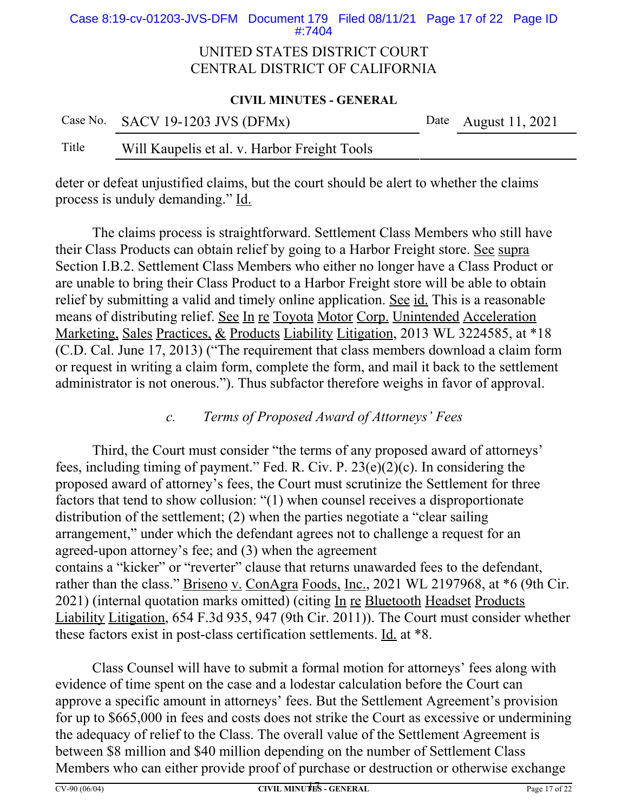Case 8:19-cv-01203-JVS-DFM Document 179 Filed 08/11/21 Page 17 of 22 Page ID #:7404

### UNITED STATES DISTRICT COURT CENTRAL DISTRICT OF CALIFORNIA

#### **CIVIL MINUTES - GENERAL**

|       | Case No. SACV 19-1203 JVS (DFMx)             | Date August 11, 2021 |
|-------|----------------------------------------------|----------------------|
| Title | Will Kaupelis et al. v. Harbor Freight Tools |                      |

deter or defeat unjustified claims, but the court should be alert to whether the claims process is unduly demanding." Id.

The claims process is straightforward. Settlement Class Members who still have their Class Products can obtain relief by going to a Harbor Freight store. See supra Section I.B.2. Settlement Class Members who either no longer have a Class Product or are unable to bring their Class Product to a Harbor Freight store will be able to obtain relief by submitting a valid and timely online application. See id. This is a reasonable means of distributing relief. See In re Toyota Motor Corp. Unintended Acceleration Marketing, Sales Practices, & Products Liability Litigation, 2013 WL 3224585, at \*18 (C.D. Cal. June 17, 2013) ("The requirement that class members download a claim form or request in writing a claim form, complete the form, and mail it back to the settlement administrator is not onerous."). Thus subfactor therefore weighs in favor of approval.

### *c. Terms of Proposed Award of Attorneys' Fees*

Third, the Court must consider "the terms of any proposed award of attorneys' fees, including timing of payment." Fed. R. Civ. P. 23(e)(2)(c). In considering the proposed award of attorney's fees, the Court must scrutinize the Settlement for three factors that tend to show collusion: "(1) when counsel receives a disproportionate distribution of the settlement; (2) when the parties negotiate a "clear sailing arrangement," under which the defendant agrees not to challenge a request for an agreed-upon attorney's fee; and (3) when the agreement contains a "kicker" or "reverter" clause that returns unawarded fees to the defendant, rather than the class." Briseno v. ConAgra Foods, Inc., 2021 WL 2197968, at \*6 (9th Cir. 2021) (internal quotation marks omitted) (citing In re Bluetooth Headset Products Liability Litigation, 654 F.3d 935, 947 (9th Cir. 2011)). The Court must consider whether these factors exist in post-class certification settlements. Id. at \*8.

Class Counsel will have to submit a formal motion for attorneys' fees along with evidence of time spent on the case and a lodestar calculation before the Court can approve a specific amount in attorneys' fees. But the Settlement Agreement's provision for up to \$665,000 in fees and costs does not strike the Court as excessive or undermining the adequacy of relief to the Class. The overall value of the Settlement Agreement is between \$8 million and \$40 million depending on the number of Settlement Class Members who can either provide proof of purchase or destruction or otherwise exchange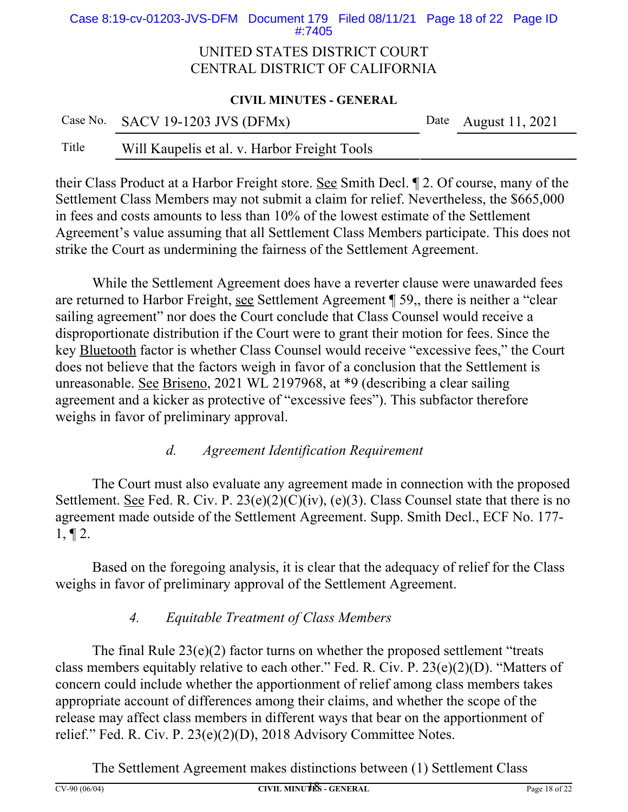Case 8:19-cv-01203-JVS-DFM Document 179 Filed 08/11/21 Page 18 of 22 Page ID #:7405

### UNITED STATES DISTRICT COURT CENTRAL DISTRICT OF CALIFORNIA

#### **CIVIL MINUTES - GENERAL**

|       | Case No. SACV 19-1203 JVS (DFMx)             | Date August $11, 2021$ |
|-------|----------------------------------------------|------------------------|
| Title | Will Kaupelis et al. v. Harbor Freight Tools |                        |

their Class Product at a Harbor Freight store. See Smith Decl. ¶ 2. Of course, many of the Settlement Class Members may not submit a claim for relief. Nevertheless, the \$665,000 in fees and costs amounts to less than 10% of the lowest estimate of the Settlement Agreement's value assuming that all Settlement Class Members participate. This does not strike the Court as undermining the fairness of the Settlement Agreement.

While the Settlement Agreement does have a reverter clause were unawarded fees are returned to Harbor Freight, see Settlement Agreement ¶ 59,, there is neither a "clear sailing agreement" nor does the Court conclude that Class Counsel would receive a disproportionate distribution if the Court were to grant their motion for fees. Since the key Bluetooth factor is whether Class Counsel would receive "excessive fees," the Court does not believe that the factors weigh in favor of a conclusion that the Settlement is unreasonable. See Briseno, 2021 WL 2197968, at \*9 (describing a clear sailing agreement and a kicker as protective of "excessive fees"). This subfactor therefore weighs in favor of preliminary approval.

## *d. Agreement Identification Requirement*

The Court must also evaluate any agreement made in connection with the proposed Settlement. <u>See</u> Fed. R. Civ. P.  $23(e)(2)(C)(iv)$ , (e)(3). Class Counsel state that there is no agreement made outside of the Settlement Agreement. Supp. Smith Decl., ECF No. 177-  $1, \P 2.$ 

Based on the foregoing analysis, it is clear that the adequacy of relief for the Class weighs in favor of preliminary approval of the Settlement Agreement.

# *4. Equitable Treatment of Class Members*

The final Rule  $23(e)(2)$  factor turns on whether the proposed settlement "treats" class members equitably relative to each other." Fed. R. Civ. P. 23(e)(2)(D). "Matters of concern could include whether the apportionment of relief among class members takes appropriate account of differences among their claims, and whether the scope of the release may affect class members in different ways that bear on the apportionment of relief." Fed. R. Civ. P. 23(e)(2)(D), 2018 Advisory Committee Notes.

The Settlement Agreement makes distinctions between (1) Settlement Class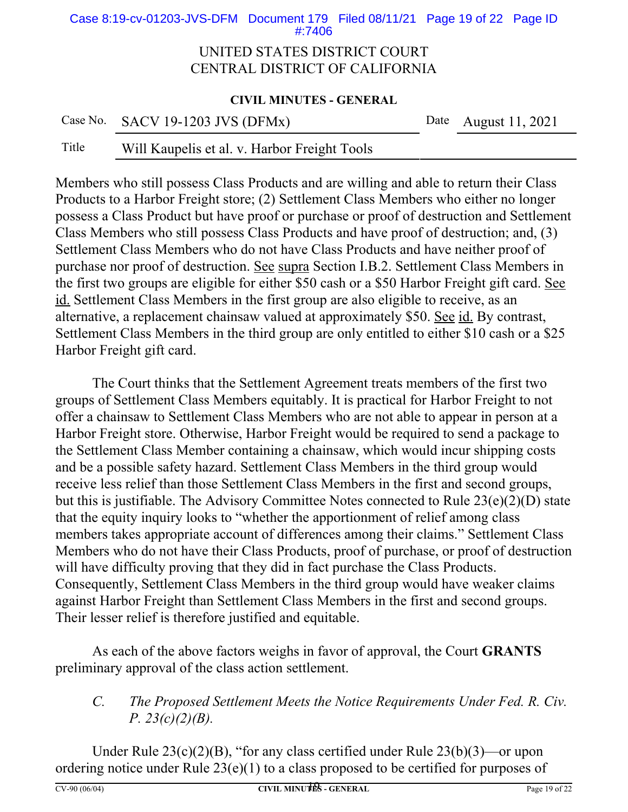Case 8:19-cv-01203-JVS-DFM Document 179 Filed 08/11/21 Page 19 of 22 Page ID #:7406

### UNITED STATES DISTRICT COURT CENTRAL DISTRICT OF CALIFORNIA

#### **CIVIL MINUTES - GENERAL**

| Case No. SACV 19-1203 JVS (DFMx) | Date August 11, 2021 |
|----------------------------------|----------------------|
|                                  |                      |

### Title Will Kaupelis et al. v. Harbor Freight Tools

Members who still possess Class Products and are willing and able to return their Class Products to a Harbor Freight store; (2) Settlement Class Members who either no longer possess a Class Product but have proof or purchase or proof of destruction and Settlement Class Members who still possess Class Products and have proof of destruction; and, (3) Settlement Class Members who do not have Class Products and have neither proof of purchase nor proof of destruction. See supra Section I.B.2. Settlement Class Members in the first two groups are eligible for either \$50 cash or a \$50 Harbor Freight gift card. See id. Settlement Class Members in the first group are also eligible to receive, as an alternative, a replacement chainsaw valued at approximately \$50. See id. By contrast, Settlement Class Members in the third group are only entitled to either \$10 cash or a \$25 Harbor Freight gift card.

The Court thinks that the Settlement Agreement treats members of the first two groups of Settlement Class Members equitably. It is practical for Harbor Freight to not offer a chainsaw to Settlement Class Members who are not able to appear in person at a Harbor Freight store. Otherwise, Harbor Freight would be required to send a package to the Settlement Class Member containing a chainsaw, which would incur shipping costs and be a possible safety hazard. Settlement Class Members in the third group would receive less relief than those Settlement Class Members in the first and second groups, but this is justifiable. The Advisory Committee Notes connected to Rule 23(e)(2)(D) state that the equity inquiry looks to "whether the apportionment of relief among class members takes appropriate account of differences among their claims." Settlement Class Members who do not have their Class Products, proof of purchase, or proof of destruction will have difficulty proving that they did in fact purchase the Class Products. Consequently, Settlement Class Members in the third group would have weaker claims against Harbor Freight than Settlement Class Members in the first and second groups. Their lesser relief is therefore justified and equitable.

As each of the above factors weighs in favor of approval, the Court **GRANTS** preliminary approval of the class action settlement.

# *C. The Proposed Settlement Meets the Notice Requirements Under Fed. R. Civ. P. 23(c)(2)(B).*

Under Rule 23(c)(2)(B), "for any class certified under Rule 23(b)(3)—or upon ordering notice under Rule 23(e)(1) to a class proposed to be certified for purposes of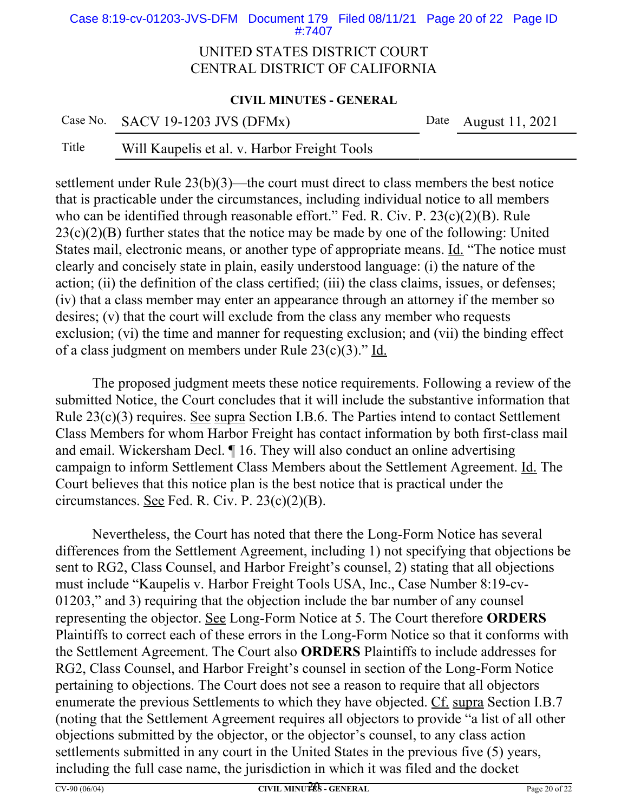Case 8:19-cv-01203-JVS-DFM Document 179 Filed 08/11/21 Page 20 of 22 Page ID #:7407

### UNITED STATES DISTRICT COURT CENTRAL DISTRICT OF CALIFORNIA

#### **CIVIL MINUTES - GENERAL**

|       | Case No. SACV 19-1203 JVS (DFMx)             | Date August 11, 2021 |
|-------|----------------------------------------------|----------------------|
| Title | Will Kaupelis et al. v. Harbor Freight Tools |                      |

settlement under Rule 23(b)(3)—the court must direct to class members the best notice that is practicable under the circumstances, including individual notice to all members who can be identified through reasonable effort." Fed. R. Civ. P. 23(c)(2)(B). Rule  $23(c)(2)(B)$  further states that the notice may be made by one of the following: United States mail, electronic means, or another type of appropriate means. Id. "The notice must clearly and concisely state in plain, easily understood language: (i) the nature of the action; (ii) the definition of the class certified; (iii) the class claims, issues, or defenses; (iv) that a class member may enter an appearance through an attorney if the member so desires; (v) that the court will exclude from the class any member who requests exclusion; (vi) the time and manner for requesting exclusion; and (vii) the binding effect of a class judgment on members under Rule 23(c)(3)." Id.

The proposed judgment meets these notice requirements. Following a review of the submitted Notice, the Court concludes that it will include the substantive information that Rule 23(c)(3) requires. See supra Section I.B.6. The Parties intend to contact Settlement Class Members for whom Harbor Freight has contact information by both first-class mail and email. Wickersham Decl. ¶ 16. They will also conduct an online advertising campaign to inform Settlement Class Members about the Settlement Agreement. Id. The Court believes that this notice plan is the best notice that is practical under the circumstances. See Fed. R. Civ. P. 23(c)(2)(B).

Nevertheless, the Court has noted that there the Long-Form Notice has several differences from the Settlement Agreement, including 1) not specifying that objections be sent to RG2, Class Counsel, and Harbor Freight's counsel, 2) stating that all objections must include "Kaupelis v. Harbor Freight Tools USA, Inc., Case Number 8:19-cv-01203," and 3) requiring that the objection include the bar number of any counsel representing the objector. See Long-Form Notice at 5. The Court therefore **ORDERS** Plaintiffs to correct each of these errors in the Long-Form Notice so that it conforms with the Settlement Agreement. The Court also **ORDERS** Plaintiffs to include addresses for RG2, Class Counsel, and Harbor Freight's counsel in section of the Long-Form Notice pertaining to objections. The Court does not see a reason to require that all objectors enumerate the previous Settlements to which they have objected. Cf. supra Section I.B.7 (noting that the Settlement Agreement requires all objectors to provide "a list of all other objections submitted by the objector, or the objector's counsel, to any class action settlements submitted in any court in the United States in the previous five (5) years, including the full case name, the jurisdiction in which it was filed and the docket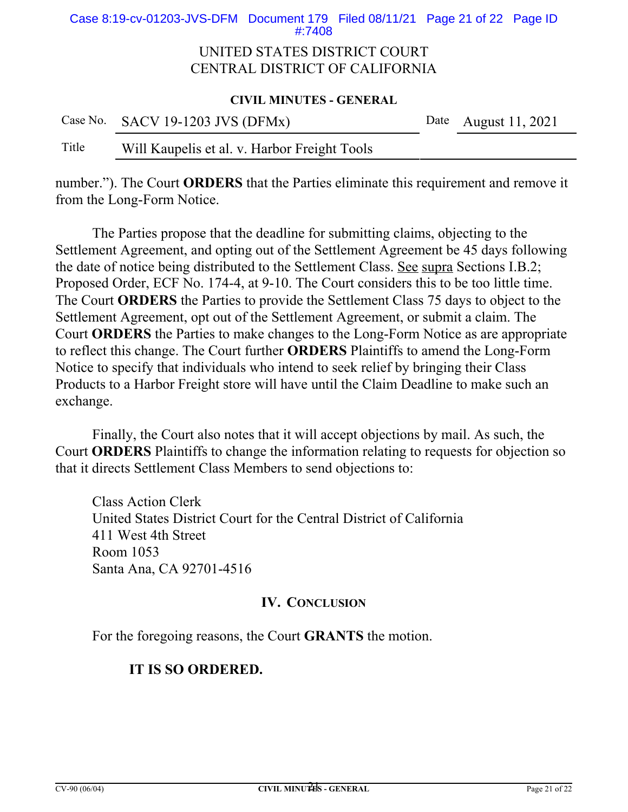Case 8:19-cv-01203-JVS-DFM Document 179 Filed 08/11/21 Page 21 of 22 Page ID #:7408

### UNITED STATES DISTRICT COURT CENTRAL DISTRICT OF CALIFORNIA

#### **CIVIL MINUTES - GENERAL**

|       | Case No. SACV 19-1203 JVS (DFMx)             | Date August 11, 2021 |
|-------|----------------------------------------------|----------------------|
| Title | Will Kaupelis et al. v. Harbor Freight Tools |                      |

number."). The Court **ORDERS** that the Parties eliminate this requirement and remove it from the Long-Form Notice.

The Parties propose that the deadline for submitting claims, objecting to the Settlement Agreement, and opting out of the Settlement Agreement be 45 days following the date of notice being distributed to the Settlement Class. See supra Sections I.B.2; Proposed Order, ECF No. 174-4, at 9-10. The Court considers this to be too little time. The Court **ORDERS** the Parties to provide the Settlement Class 75 days to object to the Settlement Agreement, opt out of the Settlement Agreement, or submit a claim. The Court **ORDERS** the Parties to make changes to the Long-Form Notice as are appropriate to reflect this change. The Court further **ORDERS** Plaintiffs to amend the Long-Form Notice to specify that individuals who intend to seek relief by bringing their Class Products to a Harbor Freight store will have until the Claim Deadline to make such an exchange.

Finally, the Court also notes that it will accept objections by mail. As such, the Court **ORDERS** Plaintiffs to change the information relating to requests for objection so that it directs Settlement Class Members to send objections to:

Class Action Clerk United States District Court for the Central District of California 411 West 4th Street Room 1053 Santa Ana, CA 92701-4516

### **IV. CONCLUSION**

For the foregoing reasons, the Court **GRANTS** the motion.

## **IT IS SO ORDERED.**